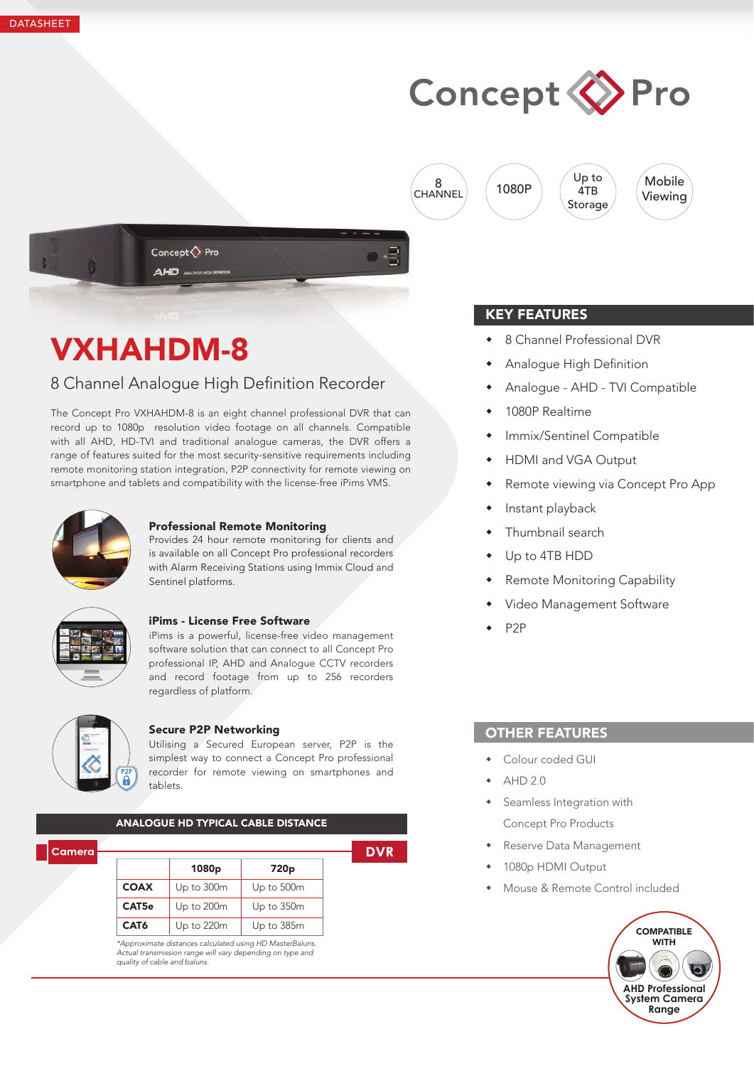# Concept <> Pro

8 **CHANNEL**  1080P





# VXHAHDM-8

# 8 Channel Analoque High Definition Recorder

The Concept Pro VXHAHDM-8 is an eight channel professional DVR that can record up to 1080p resolution video footage on all channels. Compatible with all AHD, HD-TVI and traditional analogue cameras, the DVR offers a range of features suited for the most security-sensitive requirements including remote monitoring station integration, P2P connectivity for remote viewing on smartphone and tablets and compatibility with the license-free iPims VMS.



### Professional Remote Monitoring

Provides 24 hour remote monitoring for clients and is available on all Concept Pro professional recorders with Alarm Receiving Stations using Immix Cloud and Sentinel platforms.



#### iPims - License Free Software

iPims is a powerful, license-free video management software solution that can connect to all Concept Pro professional IP, AHD and Analogue CCTV recorders and record footage from up to 256 recorders regardless of platform.



#### Secure P2P Networking

Utilising a Secured European server, P2P is the simplest way to connect a Concept Pro professional recorder for remote viewing on smartphones and tablets.

| <b>ANALOGUE HD TYPICAL CABLE DISTANCE</b> |                   |                  |  |
|-------------------------------------------|-------------------|------------------|--|
|                                           | 1080 <sub>p</sub> | 720 <sub>p</sub> |  |
| <b>COAX</b>                               | Up to 300m        | Up to 500m       |  |
| CAT <sub>5e</sub>                         | Up to 200m        | Up to 350m       |  |
| CAT <sub>6</sub>                          | Up to 220m        | Up to 385m       |  |

## KEY FEATURES

- 8 Channel Professional DVR
- Analogue High Definition
- Analogue AHD TVI Compatible

Up to 4TB **Storage** 

- 1080P Realtime
- Immix/Sentinel Compatible
- HDMI and VGA Output
- Remote viewing via Concept Pro App
- Instant playback
- Thumbnail search
- Up to 4TB HDD
- Remote Monitoring Capability
- Video Management Software
- P2P

## OTHER FEATURES

- Colour coded GUI
- AHD 2.0
- Seamless Integration with Concept Pro Products
- Reserve Data Management
- 1080p HDMI Output
- Mouse & Remote Control included

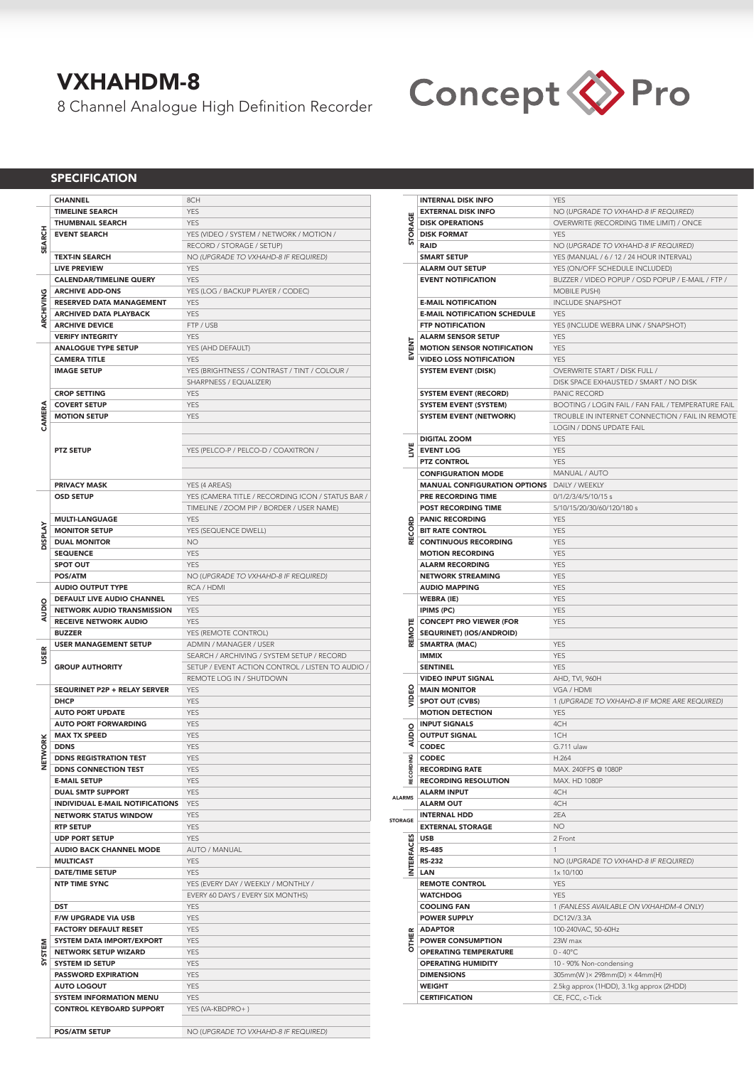# VXHAHDM-8

8 Channel Analogue High Definition Recorder



### **SPECIFICATION**

|                | <b>CHANNEL</b>                    | 8CH                                               |
|----------------|-----------------------------------|---------------------------------------------------|
|                | <b>TIMELINE SEARCH</b>            | <b>YES</b>                                        |
|                |                                   |                                                   |
| <b>SEARCH</b>  | <b>THUMBNAIL SEARCH</b>           | <b>YES</b>                                        |
|                | <b>EVENT SEARCH</b>               | YES (VIDEO / SYSTEM / NETWORK / MOTION /          |
|                |                                   | RECORD / STORAGE / SETUP)                         |
|                | <b>TEXT-IN SEARCH</b>             | NO (UPGRADE TO VXHAHD-8 IF REQUIRED)              |
|                | <b>LIVE PREVIEW</b>               | <b>YES</b>                                        |
| ARCHIVING      | <b>CALENDAR/TIMELINE QUERY</b>    | <b>YES</b>                                        |
|                | <b>ARCHIVE ADD-ONS</b>            | YES (LOG / BACKUP PLAYER / CODEC)                 |
|                | RESERVED DATA MANAGEMENT          | <b>YES</b>                                        |
|                | ARCHIVED DATA PLAYBACK            | <b>YES</b>                                        |
|                | <b>ARCHIVE DEVICE</b>             | FTP / USB                                         |
|                | <b>VERIFY INTEGRITY</b>           | <b>YES</b>                                        |
| CAMERA         | <b>ANALOGUE TYPE SETUP</b>        | YES (AHD DEFAULT)                                 |
|                | <b>CAMERA TITLE</b>               | <b>YES</b>                                        |
|                | <b>IMAGE SETUP</b>                | YES (BRIGHTNESS / CONTRAST / TINT / COLOUR /      |
|                |                                   | SHARPNESS / EQUALIZER)                            |
|                | <b>CROP SETTING</b>               | <b>YES</b>                                        |
|                | <b>COVERT SETUP</b>               | <b>YES</b>                                        |
|                | <b>MOTION SETUP</b>               | <b>YES</b>                                        |
|                |                                   |                                                   |
|                |                                   |                                                   |
|                | <b>PTZ SETUP</b>                  | YES (PELCO-P / PELCO-D / COAXITRON /              |
|                |                                   |                                                   |
|                |                                   |                                                   |
|                | <b>PRIVACY MASK</b>               | YES (4 AREAS)                                     |
|                | <b>OSD SETUP</b>                  | YES (CAMERA TITLE / RECORDING ICON / STATUS BAR / |
| <b>DISPLAY</b> |                                   | TIMELINE / ZOOM PIP / BORDER / USER NAME)         |
|                | <b>MULTI-LANGUAGE</b>             | <b>YFS</b>                                        |
|                | <b>MONITOR SETUP</b>              | YES (SEQUENCE DWELL)                              |
|                | <b>DUAL MONITOR</b>               | <b>NO</b>                                         |
|                | <b>SEQUENCE</b>                   | <b>YES</b>                                        |
|                | <b>SPOT OUT</b>                   | <b>YES</b>                                        |
|                | POS/ATM                           | NO (UPGRADE TO VXHAHD-8 IF REQUIRED)              |
| ₫<br>ō<br>₹    | <b>AUDIO OUTPUT TYPE</b>          | RCA / HDMI                                        |
|                | DEFAULT LIVE AUDIO CHANNEL        | <b>YES</b>                                        |
|                | <b>NETWORK AUDIO TRANSMISSION</b> | <b>YES</b>                                        |
|                | <b>RECEIVE NETWORK AUDIO</b>      | <b>YES</b>                                        |
|                | <b>BUZZER</b>                     | YES (REMOTE CONTROL)                              |
| USER           | <b>USER MANAGEMENT SETUP</b>      | ADMIN / MANAGER / USER                            |
|                |                                   | SEARCH / ARCHIVING / SYSTEM SETUP / RECORD        |
|                | <b>GROUP AUTHORITY</b>            | SETUP / EVENT ACTION CONTROL / LISTEN TO AUDIO /  |
|                |                                   | REMOTE LOG IN / SHUTDOWN                          |
|                |                                   | <b>YES</b>                                        |
|                | SEQURINET P2P + RELAY SERVER      |                                                   |
|                | <b>DHCP</b>                       | <b>YES</b>                                        |
|                | <b>AUTO PORT UPDATE</b>           | <b>YES</b>                                        |
|                | <b>AUTO PORT FORWARDING</b>       | <b>YES</b>                                        |
|                | <b>MAX TX SPEED</b>               | <b>YES</b>                                        |
| <b>NORK</b>    | <b>DDNS</b>                       | <b>YES</b>                                        |
|                | <b>DDNS REGISTRATION TEST</b>     | <b>YES</b>                                        |
| ¥              | <b>DDNS CONNECTION TEST</b>       | YES                                               |
|                | <b>E-MAIL SETUP</b>               | <b>YES</b>                                        |
|                | <b>DUAL SMTP SUPPORT</b>          | <b>YES</b>                                        |
|                | INDIVIDUAL E-MAIL NOTIFICATIONS   | <b>YES</b>                                        |
|                | <b>NETWORK STATUS WINDOW</b>      | <b>YES</b>                                        |
|                | <b>RTP SETUP</b>                  | <b>YES</b>                                        |
|                | <b>UDP PORT SETUP</b>             | <b>YES</b>                                        |
|                | AUDIO BACK CHANNEL MODE           | AUTO / MANUAL                                     |
|                | <b>MULTICAST</b>                  | <b>YES</b>                                        |
|                | <b>DATE/TIME SETUP</b>            | <b>YES</b>                                        |
|                | <b>NTP TIME SYNC</b>              | YES (EVERY DAY / WEEKLY / MONTHLY /               |
|                |                                   | EVERY 60 DAYS / EVERY SIX MONTHS)                 |
|                | DST                               | <b>YES</b>                                        |
|                | <b>F/W UPGRADE VIA USB</b>        | <b>YES</b>                                        |
|                | <b>FACTORY DEFAULT RESET</b>      | <b>YES</b>                                        |
|                | SYSTEM DATA IMPORT/EXPORT         | <b>YES</b>                                        |
|                | <b>NETWORK SETUP WIZARD</b>       | <b>YES</b>                                        |
| SYSTEM         | <b>SYSTEM ID SETUP</b>            | <b>YES</b>                                        |
|                | PASSWORD EXPIRATION               | <b>YES</b>                                        |
|                | <b>AUTO LOGOUT</b>                | <b>YES</b>                                        |
|                | <b>SYSTEM INFORMATION MENU</b>    | <b>YES</b>                                        |
|                | <b>CONTROL KEYBOARD SUPPORT</b>   | YES (VA-KBDPRO+)                                  |

|                  | <b>INTERNAL DISK INFO</b>                             | <b>YFS</b>                                         |
|------------------|-------------------------------------------------------|----------------------------------------------------|
|                  | <b>EXTERNAL DISK INFO</b>                             | NO (UPGRADE TO VXHAHD-8 IF REQUIRED)               |
| STORAGE          | <b>DISK OPERATIONS</b>                                | OVERWRITE (RECORDING TIME LIMIT) / ONCE            |
|                  | <b>DISK FORMAT</b>                                    | <b>YES</b>                                         |
|                  | <b>RAID</b>                                           | NO (UPGRADE TO VXHAHD-8 IF REQUIRED)               |
|                  | <b>SMART SETUP</b>                                    | YES (MANUAL / 6 / 12 / 24 HOUR INTERVAL)           |
|                  | <b>ALARM OUT SETUP</b>                                | YES (ON/OFF SCHEDULE INCLUDED)                     |
|                  | <b>EVENT NOTIFICATION</b>                             | BUZZER / VIDEO POPUP / OSD POPUP / E-MAIL / FTP /  |
|                  |                                                       | <b>MOBILE PUSH)</b>                                |
|                  | <b>E-MAIL NOTIFICATION</b>                            | <b>INCLUDE SNAPSHOT</b>                            |
|                  | <b>E-MAIL NOTIFICATION SCHEDULE</b>                   | <b>YES</b>                                         |
|                  | <b>FTP NOTIFICATION</b>                               | YES (INCLUDE WEBRA LINK / SNAPSHOT)                |
|                  | <b>ALARM SENSOR SETUP</b>                             | <b>YES</b>                                         |
| EVENT            | <b>MOTION SENSOR NOTIFICATION</b>                     | <b>YES</b>                                         |
|                  | <b>VIDEO LOSS NOTIFICATION</b>                        | <b>YES</b>                                         |
|                  | <b>SYSTEM EVENT (DISK)</b>                            | OVERWRITE START / DISK FULL /                      |
|                  |                                                       | DISK SPACE EXHAUSTED / SMART / NO DISK             |
|                  | <b>SYSTEM EVENT (RECORD)</b>                          | PANIC RECORD                                       |
|                  | <b>SYSTEM EVENT (SYSTEM)</b>                          | BOOTING / LOGIN FAIL / FAN FAIL / TEMPERATURE FAIL |
|                  | <b>SYSTEM EVENT (NETWORK)</b>                         | TROUBLE IN INTERNET CONNECTION / FAIL IN REMOTE    |
|                  |                                                       | LOGIN / DDNS UPDATE FAIL                           |
|                  | <b>DIGITAL ZOOM</b>                                   | <b>YES</b>                                         |
| ≝                | <b>EVENT LOG</b>                                      | <b>YES</b>                                         |
|                  | <b>PTZ CONTROL</b>                                    | <b>YES</b>                                         |
|                  | <b>CONFIGURATION MODE</b>                             | MANUAL / AUTO                                      |
|                  | <b>MANUAL CONFIGURATION OPTIONS DAILY / WEEKLY</b>    |                                                    |
|                  | <b>PRE RECORDING TIME</b>                             | 0/1/2/3/4/5/10/15 s                                |
|                  | <b>POST RECORDING TIME</b>                            | 5/10/15/20/30/60/120/180 s                         |
|                  | <b>PANIC RECORDING</b>                                | <b>YES</b>                                         |
| ECORD            | <b>BIT RATE CONTROL</b>                               | <b>YES</b>                                         |
|                  | <b>CONTINUOUS RECORDING</b>                           | <b>YES</b>                                         |
|                  | <b>MOTION RECORDING</b>                               | <b>YES</b>                                         |
|                  | <b>ALARM RECORDING</b>                                | <b>YES</b>                                         |
|                  | <b>NETWORK STREAMING</b>                              | <b>YES</b>                                         |
|                  | <b>AUDIO MAPPING</b>                                  | <b>YES</b>                                         |
|                  | <b>WEBRA (IE)</b>                                     | <b>YES</b>                                         |
|                  | IPIMS (PC)                                            | <b>YES</b>                                         |
|                  | <b>CONCEPT PRO VIEWER (FOR</b>                        | <b>YES</b>                                         |
| <b>REMOTE</b>    | SEQURINET) (IOS/ANDROID)                              |                                                    |
|                  | <b>SMARTRA (MAC)</b>                                  | <b>YES</b>                                         |
|                  | <b>IMMIX</b>                                          | <b>YES</b>                                         |
|                  | <b>SENTINEL</b>                                       | <b>YES</b>                                         |
|                  | <b>VIDEO INPUT SIGNAL</b>                             | AHD, TVI, 960H                                     |
|                  | <b>MAIN MONITOR</b>                                   | VGA / HDMI                                         |
|                  | <b>SPOT OUT (CVBS)</b>                                | 1 (UPGRADE TO VXHAHD-8 IF MORE ARE REQUIRED)       |
|                  | <b>MOTION DETECTION</b>                               | <b>YES</b>                                         |
|                  | <b>INPUT SIGNALS</b>                                  | 4CH                                                |
| <b>AUDIO</b>     | <b>OUTPUT SIGNAL</b>                                  | 1CH                                                |
|                  | CODEC                                                 | G.711 ulaw                                         |
| <b>RECORDING</b> | <b>CODEC</b>                                          | H.264                                              |
|                  | <b>RECORDING RATE</b><br><b>RECORDING RESOLUTION</b>  | MAX. 240FPS @ 1080P<br>MAX, HD 1080P               |
|                  | <b>ALARM INPUT</b>                                    | 4CH                                                |
| <b>ALARMS</b>    | <b>ALARM OUT</b>                                      | 4CH                                                |
|                  | <b>INTERNAL HDD</b>                                   | 2EA                                                |
| <b>STORAGE</b>   | <b>EXTERNAL STORAGE</b>                               | NO.                                                |
|                  |                                                       | 2 Front                                            |
|                  | USB<br>MTERFAS-48<br>MTERS-23<br>LAN<br><b>RS-485</b> | 1                                                  |
|                  | <b>RS-232</b>                                         | NO (UPGRADE TO VXHAHD-8 IF REQUIRED)               |
|                  |                                                       | 1x 10/100                                          |
|                  | <b>REMOTE CONTROL</b>                                 | <b>YES</b>                                         |
|                  | <b>WATCHDOG</b>                                       | <b>YES</b>                                         |
|                  | <b>COOLING FAN</b>                                    | 1 (FANLESS AVAILABLE ON VXHAHDM-4 ONLY)            |
|                  | <b>POWER SUPPLY</b>                                   | DC12V/3.3A                                         |
|                  | <b>ADAPTOR</b>                                        | 100-240VAC, 50-60Hz                                |
| <b>OTHER</b>     | <b>POWER CONSUMPTION</b>                              | 23W max                                            |
|                  | <b>OPERATING TEMPERATURE</b>                          | $0 - 40^{\circ}$ C                                 |
|                  | <b>OPERATING HUMIDITY</b>                             | 10 - 90% Non-condensing                            |
|                  | <b>DIMENSIONS</b>                                     | 305mm(W) × 298mm(D) × 44mm(H)                      |
|                  | <b>WEIGHT</b>                                         | 2.5kg approx (1HDD), 3.1kg approx (2HDD)           |
|                  | <b>CERTIFICATION</b>                                  | CE, FCC, c-Tick                                    |
|                  |                                                       |                                                    |